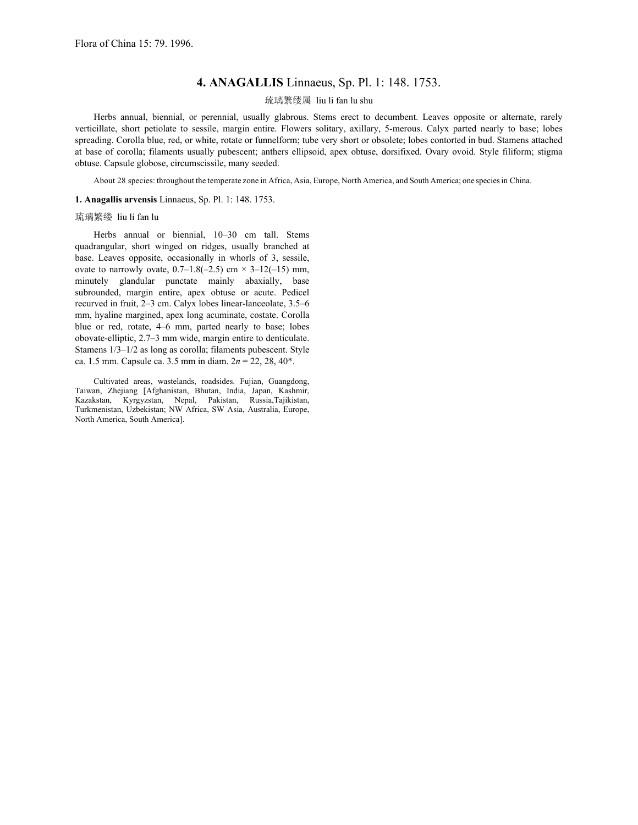## **4. ANAGALLIS** Linnaeus, Sp. Pl. 1: 148. 1753.

## 琉璃繁缕属 liu li fan lu shu

 Herbs annual, biennial, or perennial, usually glabrous. Stems erect to decumbent. Leaves opposite or alternate, rarely verticillate, short petiolate to sessile, margin entire. Flowers solitary, axillary, 5-merous. Calyx parted nearly to base; lobes spreading. Corolla blue, red, or white, rotate or funnelform; tube very short or obsolete; lobes contorted in bud. Stamens attached at base of corolla; filaments usually pubescent; anthers ellipsoid, apex obtuse, dorsifixed. Ovary ovoid. Style filiform; stigma obtuse. Capsule globose, circumscissile, many seeded.

About 28 species: throughout the temperate zone in Africa, Asia, Europe, North America, and South America; one speciesin China.

## **1. Anagallis arvensis** Linnaeus, Sp. Pl. 1: 148. 1753.

## 琉璃繁缕 liu li fan lu

 Herbs annual or biennial, 10–30 cm tall. Stems quadrangular, short winged on ridges, usually branched at base. Leaves opposite, occasionally in whorls of 3, sessile, ovate to narrowly ovate,  $0.7-1.8(-2.5)$  cm  $\times$  3-12(-15) mm, minutely glandular punctate mainly abaxially, base subrounded, margin entire, apex obtuse or acute. Pedicel recurved in fruit, 2–3 cm. Calyx lobes linear-lanceolate, 3.5–6 mm, hyaline margined, apex long acuminate, costate. Corolla blue or red, rotate, 4–6 mm, parted nearly to base; lobes obovate-elliptic, 2.7–3 mm wide, margin entire to denticulate. Stamens 1/3–1/2 as long as corolla; filaments pubescent. Style ca. 1.5 mm. Capsule ca. 3.5 mm in diam. 2*n* = 22, 28, 40\*.

 Cultivated areas, wastelands, roadsides. Fujian, Guangdong, Taiwan, Zhejiang [Afghanistan, Bhutan, India, Japan, Kashmir, Kazakstan, Kyrgyzstan, Nepal, Pakistan, Russia,Tajikistan, Turkmenistan, Uzbekistan; NW Africa, SW Asia, Australia, Europe, North America, South America].